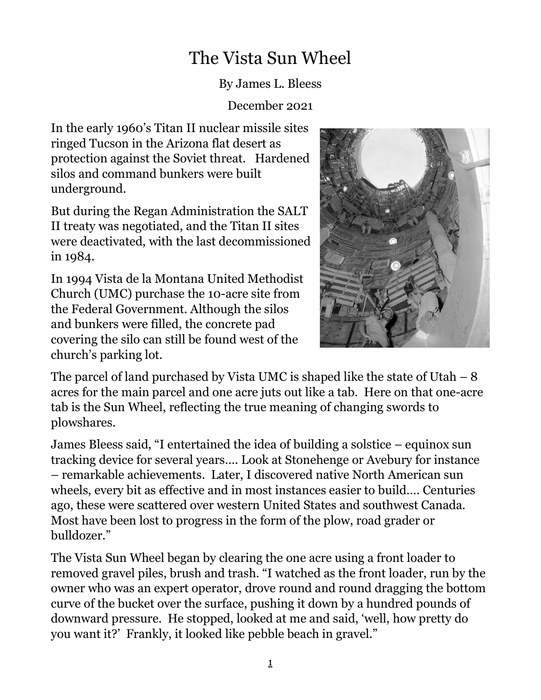## The Vista Sun Wheel

By James L. Bleess

December 2021

In the early 1960's Titan II nuclear missile sites ringed Tucson in the Arizona flat desert as protection against the Soviet threat. Hardened silos and command bunkers were built underground.

But during the Regan Administration the SALT II treaty was negotiated, and the Titan II sites were deactivated, with the last decommissioned in 1984.

In 1994 Vista de la Montana United Methodist Church (UMC) purchase the 10-acre site from the Federal Government. Although the silos and bunkers were filled, the concrete pad covering the silo can still be found west of the church's parking lot.



The parcel of land purchased by Vista UMC is shaped like the state of Utah  $-8$ acres for the main parcel and one acre juts out like a tab. Here on that one-acre tab is the Sun Wheel, reflecting the true meaning of changing swords to plowshares.

James Bleess said, "I entertained the idea of building a solstice – equinox sun tracking device for several years…. Look at Stonehenge or Avebury for instance – remarkable achievements. Later, I discovered native North American sun wheels, every bit as effective and in most instances easier to build…. Centuries ago, these were scattered over western United States and southwest Canada. Most have been lost to progress in the form of the plow, road grader or bulldozer."

The Vista Sun Wheel began by clearing the one acre using a front loader to removed gravel piles, brush and trash. "I watched as the front loader, run by the owner who was an expert operator, drove round and round dragging the bottom curve of the bucket over the surface, pushing it down by a hundred pounds of downward pressure. He stopped, looked at me and said, 'well, how pretty do you want it?' Frankly, it looked like pebble beach in gravel."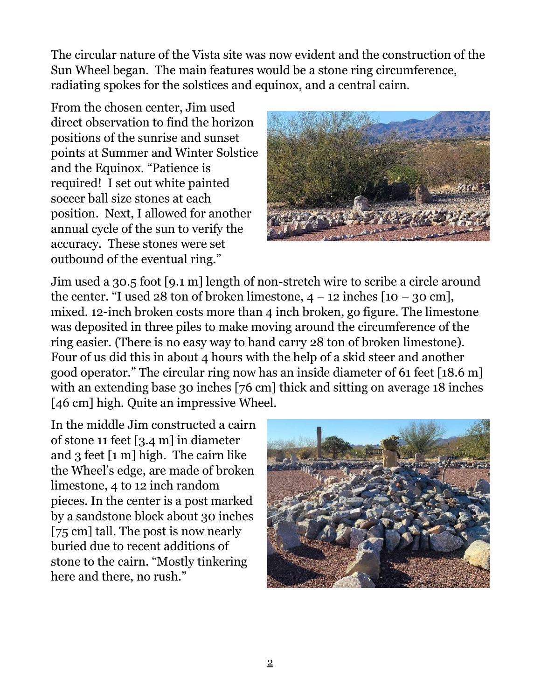The circular nature of the Vista site was now evident and the construction of the Sun Wheel began. The main features would be a stone ring circumference, radiating spokes for the solstices and equinox, and a central cairn.

From the chosen center, Jim used direct observation to find the horizon positions of the sunrise and sunset points at Summer and Winter Solstice and the Equinox. "Patience is required! I set out white painted soccer ball size stones at each position. Next, I allowed for another annual cycle of the sun to verify the accuracy. These stones were set outbound of the eventual ring."



Jim used a 30.5 foot [9.1 m] length of non-stretch wire to scribe a circle around the center. "I used 28 ton of broken limestone,  $4 - 12$  inches  $[10 - 30$  cm], mixed. 12-inch broken costs more than 4 inch broken, go figure. The limestone was deposited in three piles to make moving around the circumference of the ring easier. (There is no easy way to hand carry 28 ton of broken limestone). Four of us did this in about 4 hours with the help of a skid steer and another good operator." The circular ring now has an inside diameter of 61 feet [18.6 m] with an extending base 30 inches [76 cm] thick and sitting on average 18 inches [46 cm] high. Quite an impressive Wheel.

In the middle Jim constructed a cairn of stone 11 feet [3.4 m] in diameter and 3 feet [1 m] high. The cairn like the Wheel's edge, are made of broken limestone, 4 to 12 inch random pieces. In the center is a post marked by a sandstone block about 30 inches [75 cm] tall. The post is now nearly buried due to recent additions of stone to the cairn. "Mostly tinkering here and there, no rush."

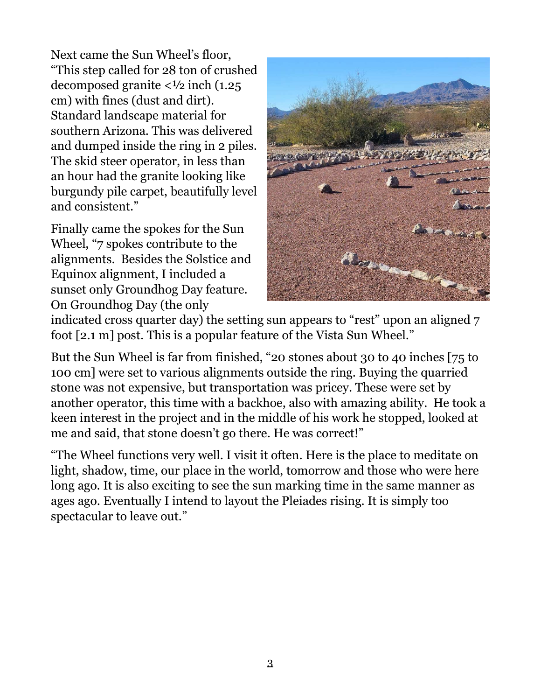Next came the Sun Wheel's floor, "This step called for 28 ton of crushed decomposed granite  $\langle \frac{1}{2} \rangle$  inch (1.25) cm) with fines (dust and dirt). Standard landscape material for southern Arizona. This was delivered and dumped inside the ring in 2 piles. The skid steer operator, in less than an hour had the granite looking like burgundy pile carpet, beautifully level and consistent."

Finally came the spokes for the Sun Wheel, "7 spokes contribute to the alignments. Besides the Solstice and Equinox alignment, I included a sunset only Groundhog Day feature. On Groundhog Day (the only



indicated cross quarter day) the setting sun appears to "rest" upon an aligned 7 foot [2.1 m] post. This is a popular feature of the Vista Sun Wheel."

But the Sun Wheel is far from finished, "20 stones about 30 to 40 inches [75 to 100 cm] were set to various alignments outside the ring. Buying the quarried stone was not expensive, but transportation was pricey. These were set by another operator, this time with a backhoe, also with amazing ability. He took a keen interest in the project and in the middle of his work he stopped, looked at me and said, that stone doesn't go there. He was correct!"

"The Wheel functions very well. I visit it often. Here is the place to meditate on light, shadow, time, our place in the world, tomorrow and those who were here long ago. It is also exciting to see the sun marking time in the same manner as ages ago. Eventually I intend to layout the Pleiades rising. It is simply too spectacular to leave out."